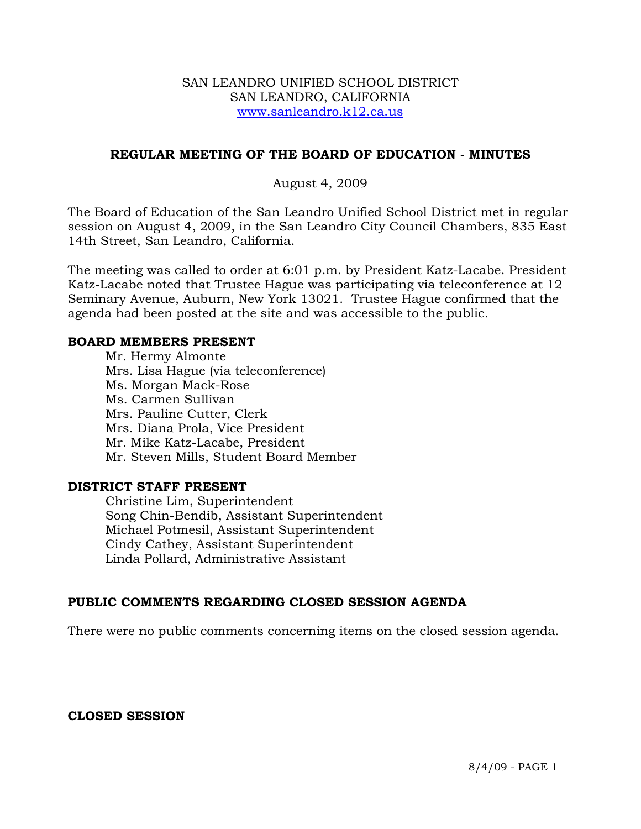#### SAN LEANDRO UNIFIED SCHOOL DISTRICT SAN LEANDRO, CALIFORNIA www.sanleandro.k12.ca.us

#### **REGULAR MEETING OF THE BOARD OF EDUCATION - MINUTES**

#### August 4, 2009

The Board of Education of the San Leandro Unified School District met in regular session on August 4, 2009, in the San Leandro City Council Chambers, 835 East 14th Street, San Leandro, California.

The meeting was called to order at 6:01 p.m. by President Katz-Lacabe. President Katz-Lacabe noted that Trustee Hague was participating via teleconference at 12 Seminary Avenue, Auburn, New York 13021. Trustee Hague confirmed that the agenda had been posted at the site and was accessible to the public.

#### **BOARD MEMBERS PRESENT**

Mr. Hermy Almonte Mrs. Lisa Hague (via teleconference) Ms. Morgan Mack-Rose Ms. Carmen Sullivan Mrs. Pauline Cutter, Clerk Mrs. Diana Prola, Vice President Mr. Mike Katz-Lacabe, President Mr. Steven Mills, Student Board Member

#### **DISTRICT STAFF PRESENT**

Christine Lim, Superintendent Song Chin-Bendib, Assistant Superintendent Michael Potmesil, Assistant Superintendent Cindy Cathey, Assistant Superintendent Linda Pollard, Administrative Assistant

# **PUBLIC COMMENTS REGARDING CLOSED SESSION AGENDA**

There were no public comments concerning items on the closed session agenda.

#### **CLOSED SESSION**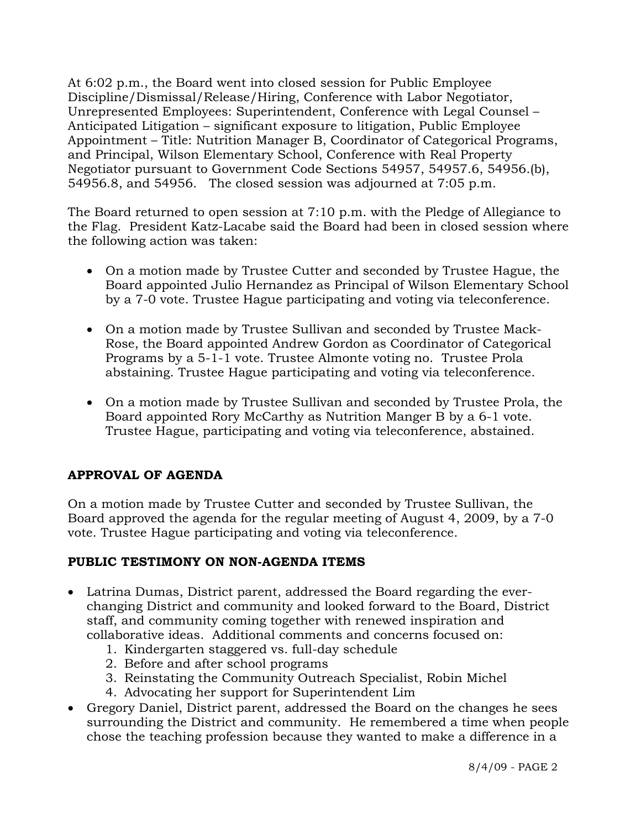At 6:02 p.m., the Board went into closed session for Public Employee Discipline/Dismissal/Release/Hiring, Conference with Labor Negotiator, Unrepresented Employees: Superintendent, Conference with Legal Counsel – Anticipated Litigation – significant exposure to litigation, Public Employee Appointment – Title: Nutrition Manager B, Coordinator of Categorical Programs, and Principal, Wilson Elementary School, Conference with Real Property Negotiator pursuant to Government Code Sections 54957, 54957.6, 54956.(b), 54956.8, and 54956. The closed session was adjourned at 7:05 p.m.

The Board returned to open session at 7:10 p.m. with the Pledge of Allegiance to the Flag. President Katz-Lacabe said the Board had been in closed session where the following action was taken:

- On a motion made by Trustee Cutter and seconded by Trustee Hague, the Board appointed Julio Hernandez as Principal of Wilson Elementary School by a 7-0 vote. Trustee Hague participating and voting via teleconference.
- On a motion made by Trustee Sullivan and seconded by Trustee Mack-Rose, the Board appointed Andrew Gordon as Coordinator of Categorical Programs by a 5-1-1 vote. Trustee Almonte voting no. Trustee Prola abstaining. Trustee Hague participating and voting via teleconference.
- On a motion made by Trustee Sullivan and seconded by Trustee Prola, the Board appointed Rory McCarthy as Nutrition Manger B by a 6-1 vote. Trustee Hague, participating and voting via teleconference, abstained.

# **APPROVAL OF AGENDA**

On a motion made by Trustee Cutter and seconded by Trustee Sullivan, the Board approved the agenda for the regular meeting of August 4, 2009, by a 7-0 vote. Trustee Hague participating and voting via teleconference.

# **PUBLIC TESTIMONY ON NON-AGENDA ITEMS**

- Latrina Dumas, District parent, addressed the Board regarding the everchanging District and community and looked forward to the Board, District staff, and community coming together with renewed inspiration and collaborative ideas. Additional comments and concerns focused on:
	- 1. Kindergarten staggered vs. full-day schedule
	- 2. Before and after school programs
	- 3. Reinstating the Community Outreach Specialist, Robin Michel
	- 4. Advocating her support for Superintendent Lim
- Gregory Daniel, District parent, addressed the Board on the changes he sees surrounding the District and community. He remembered a time when people chose the teaching profession because they wanted to make a difference in a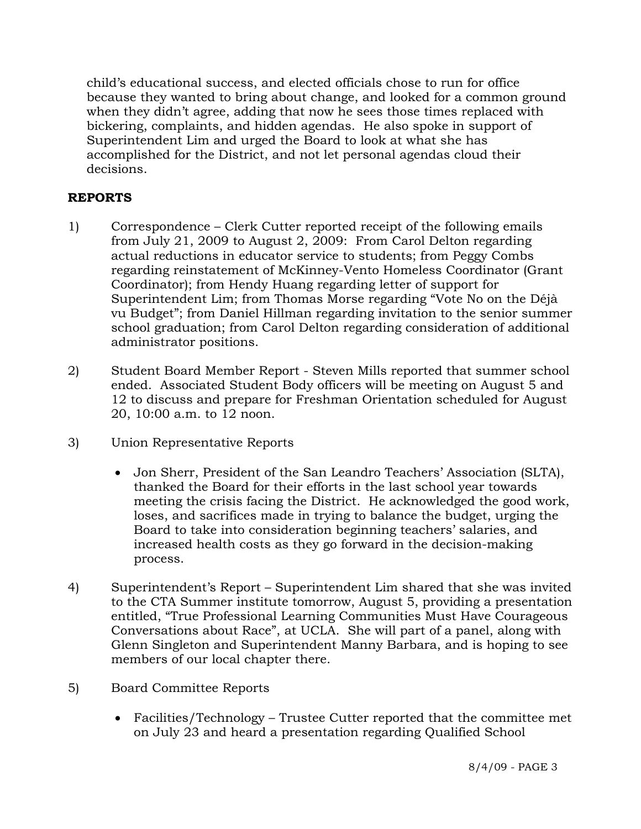child's educational success, and elected officials chose to run for office because they wanted to bring about change, and looked for a common ground when they didn't agree, adding that now he sees those times replaced with bickering, complaints, and hidden agendas. He also spoke in support of Superintendent Lim and urged the Board to look at what she has accomplished for the District, and not let personal agendas cloud their decisions.

# **REPORTS**

- 1) Correspondence Clerk Cutter reported receipt of the following emails from July 21, 2009 to August 2, 2009: From Carol Delton regarding actual reductions in educator service to students; from Peggy Combs regarding reinstatement of McKinney-Vento Homeless Coordinator (Grant Coordinator); from Hendy Huang regarding letter of support for Superintendent Lim; from Thomas Morse regarding "Vote No on the Déjà vu Budget"; from Daniel Hillman regarding invitation to the senior summer school graduation; from Carol Delton regarding consideration of additional administrator positions.
- 2) Student Board Member Report Steven Mills reported that summer school ended. Associated Student Body officers will be meeting on August 5 and 12 to discuss and prepare for Freshman Orientation scheduled for August 20, 10:00 a.m. to 12 noon.
- 3) Union Representative Reports
	- Jon Sherr, President of the San Leandro Teachers' Association (SLTA), thanked the Board for their efforts in the last school year towards meeting the crisis facing the District. He acknowledged the good work, loses, and sacrifices made in trying to balance the budget, urging the Board to take into consideration beginning teachers' salaries, and increased health costs as they go forward in the decision-making process.
- 4) Superintendent's Report Superintendent Lim shared that she was invited to the CTA Summer institute tomorrow, August 5, providing a presentation entitled, "True Professional Learning Communities Must Have Courageous Conversations about Race", at UCLA. She will part of a panel, along with Glenn Singleton and Superintendent Manny Barbara, and is hoping to see members of our local chapter there.
- 5) Board Committee Reports
	- Facilities/Technology Trustee Cutter reported that the committee met on July 23 and heard a presentation regarding Qualified School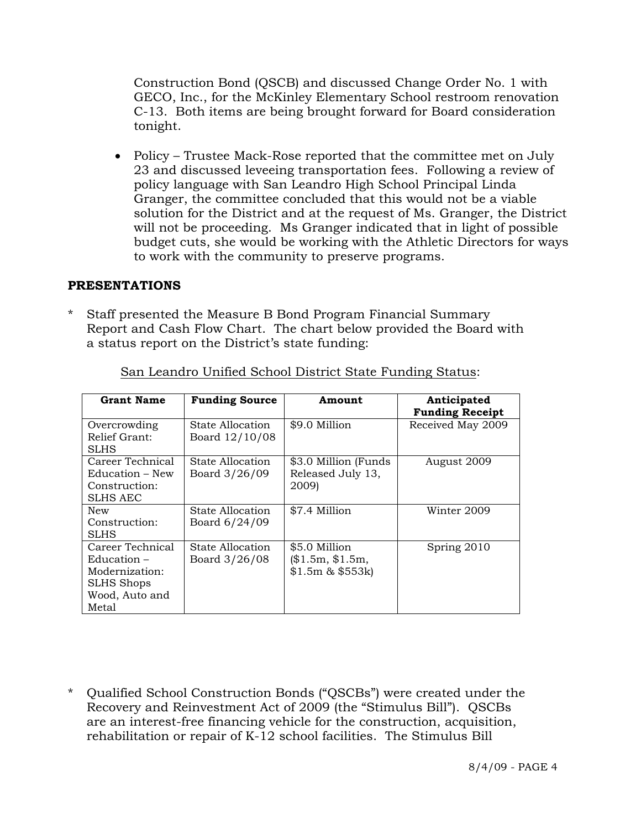Construction Bond (QSCB) and discussed Change Order No. 1 with GECO, Inc., for the McKinley Elementary School restroom renovation C-13. Both items are being brought forward for Board consideration tonight.

• Policy – Trustee Mack-Rose reported that the committee met on July 23 and discussed leveeing transportation fees. Following a review of policy language with San Leandro High School Principal Linda Granger, the committee concluded that this would not be a viable solution for the District and at the request of Ms. Granger, the District will not be proceeding. Ms Granger indicated that in light of possible budget cuts, she would be working with the Athletic Directors for ways to work with the community to preserve programs.

#### **PRESENTATIONS**

Staff presented the Measure B Bond Program Financial Summary Report and Cash Flow Chart. The chart below provided the Board with a status report on the District's state funding:

| <b>Grant Name</b>                                                                             | <b>Funding Source</b>              | Amount                                               | Anticipated<br><b>Funding Receipt</b> |
|-----------------------------------------------------------------------------------------------|------------------------------------|------------------------------------------------------|---------------------------------------|
| Overcrowding<br>Relief Grant:                                                                 | State Allocation<br>Board 12/10/08 | \$9.0 Million                                        | Received May 2009                     |
| SLHS                                                                                          |                                    |                                                      |                                       |
| Career Technical<br>Education – New<br>Construction:<br>SLHS AEC                              | State Allocation<br>Board 3/26/09  | \$3.0 Million (Funds<br>Released July 13,<br>2009)   | August 2009                           |
| New<br>Construction:<br>SLHS                                                                  | State Allocation<br>Board 6/24/09  | \$7.4 Million                                        | Winter 2009                           |
| Career Technical<br>$Eductation -$<br>Modernization:<br>SLHS Shops<br>Wood, Auto and<br>Metal | State Allocation<br>Board 3/26/08  | \$5.0 Million<br>\$1.5m, \$1.5m,<br>$$1.5m \& $553k$ | Spring 2010                           |

San Leandro Unified School District State Funding Status:

\* Qualified School Construction Bonds ("QSCBs") were created under the Recovery and Reinvestment Act of 2009 (the "Stimulus Bill"). QSCBs are an interest-free financing vehicle for the construction, acquisition, rehabilitation or repair of K-12 school facilities. The Stimulus Bill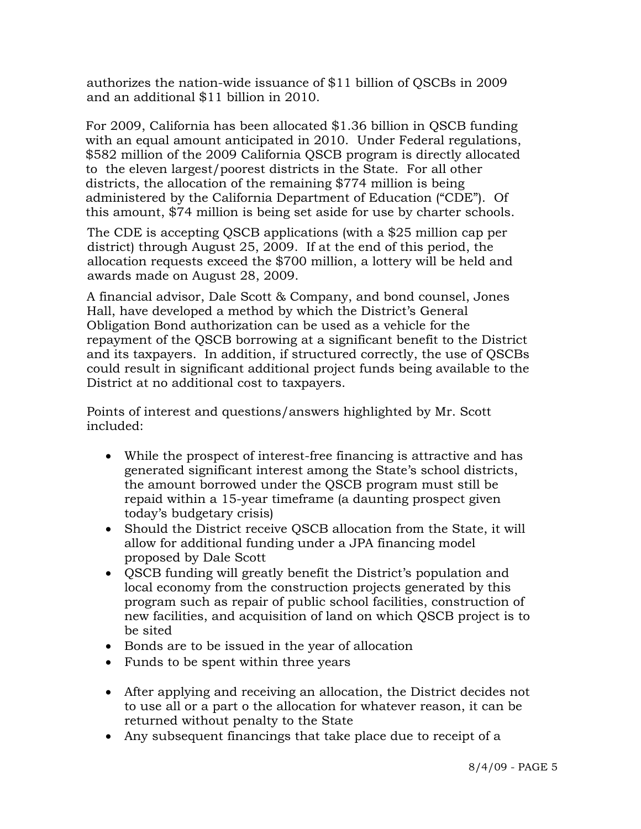authorizes the nation-wide issuance of \$11 billion of QSCBs in 2009 and an additional \$11 billion in 2010.

 For 2009, California has been allocated \$1.36 billion in QSCB funding with an equal amount anticipated in 2010. Under Federal regulations, \$582 million of the 2009 California QSCB program is directly allocated to the eleven largest/poorest districts in the State. For all other districts, the allocation of the remaining \$774 million is being administered by the California Department of Education ("CDE"). Of this amount, \$74 million is being set aside for use by charter schools.

 The CDE is accepting QSCB applications (with a \$25 million cap per district) through August 25, 2009. If at the end of this period, the allocation requests exceed the \$700 million, a lottery will be held and awards made on August 28, 2009.

 A financial advisor, Dale Scott & Company, and bond counsel, Jones Hall, have developed a method by which the District's General Obligation Bond authorization can be used as a vehicle for the repayment of the QSCB borrowing at a significant benefit to the District and its taxpayers. In addition, if structured correctly, the use of QSCBs could result in significant additional project funds being available to the District at no additional cost to taxpayers.

 Points of interest and questions/answers highlighted by Mr. Scott included:

- While the prospect of interest-free financing is attractive and has generated significant interest among the State's school districts, the amount borrowed under the QSCB program must still be repaid within a 15-year timeframe (a daunting prospect given today's budgetary crisis)
- Should the District receive QSCB allocation from the State, it will allow for additional funding under a JPA financing model proposed by Dale Scott
- QSCB funding will greatly benefit the District's population and local economy from the construction projects generated by this program such as repair of public school facilities, construction of new facilities, and acquisition of land on which QSCB project is to be sited
- Bonds are to be issued in the year of allocation
- Funds to be spent within three years
- After applying and receiving an allocation, the District decides not to use all or a part o the allocation for whatever reason, it can be returned without penalty to the State
- Any subsequent financings that take place due to receipt of a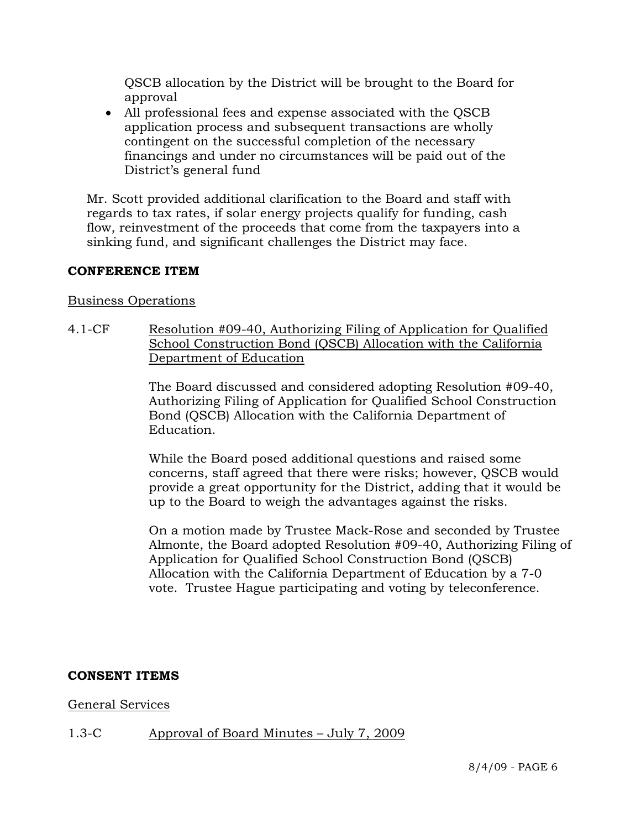QSCB allocation by the District will be brought to the Board for approval

• All professional fees and expense associated with the QSCB application process and subsequent transactions are wholly contingent on the successful completion of the necessary financings and under no circumstances will be paid out of the District's general fund

 Mr. Scott provided additional clarification to the Board and staff with regards to tax rates, if solar energy projects qualify for funding, cash flow, reinvestment of the proceeds that come from the taxpayers into a sinking fund, and significant challenges the District may face.

# **CONFERENCE ITEM**

#### Business Operations

4.1-CF Resolution #09-40, Authorizing Filing of Application for Qualified School Construction Bond (QSCB) Allocation with the California Department of Education

> The Board discussed and considered adopting Resolution #09-40, Authorizing Filing of Application for Qualified School Construction Bond (QSCB) Allocation with the California Department of Education.

> While the Board posed additional questions and raised some concerns, staff agreed that there were risks; however, QSCB would provide a great opportunity for the District, adding that it would be up to the Board to weigh the advantages against the risks.

On a motion made by Trustee Mack-Rose and seconded by Trustee Almonte, the Board adopted Resolution #09-40, Authorizing Filing of Application for Qualified School Construction Bond (QSCB) Allocation with the California Department of Education by a 7-0 vote. Trustee Hague participating and voting by teleconference.

# **CONSENT ITEMS**

# General Services

# 1.3-C Approval of Board Minutes – July 7, 2009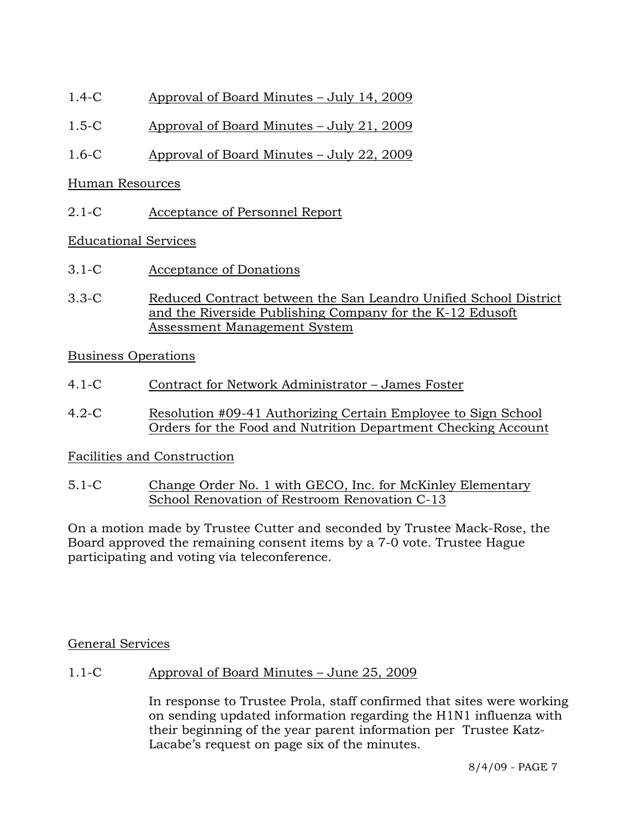- 1.4-C Approval of Board Minutes July 14, 2009
- 1.5-C Approval of Board Minutes July 21, 2009
- 1.6-C Approval of Board Minutes July 22, 2009

#### Human Resources

2.1-C Acceptance of Personnel Report

# Educational Services

- 3.1-C Acceptance of Donations
- 3.3-C Reduced Contract between the San Leandro Unified School District and the Riverside Publishing Company for the K-12 Edusoft Assessment Management System

# Business Operations

- 4.1-C Contract for Network Administrator James Foster
- 4.2-C Resolution #09-41 Authorizing Certain Employee to Sign School Orders for the Food and Nutrition Department Checking Account

# Facilities and Construction

5.1-C Change Order No. 1 with GECO, Inc. for McKinley Elementary School Renovation of Restroom Renovation C-13

On a motion made by Trustee Cutter and seconded by Trustee Mack-Rose, the Board approved the remaining consent items by a 7-0 vote. Trustee Hague participating and voting via teleconference.

# General Services

1.1-C Approval of Board Minutes – June 25, 2009

In response to Trustee Prola, staff confirmed that sites were working on sending updated information regarding the H1N1 influenza with their beginning of the year parent information per Trustee Katz-Lacabe's request on page six of the minutes.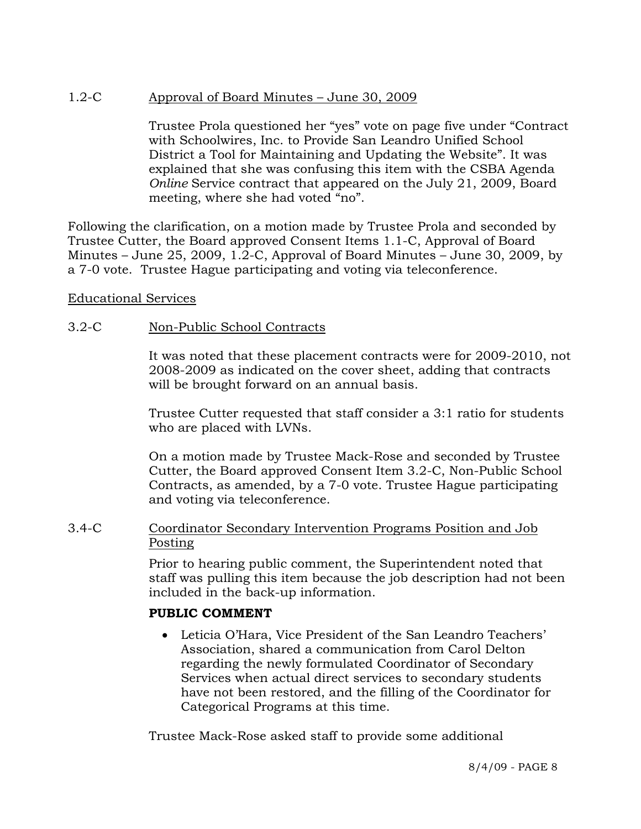# 1.2-C Approval of Board Minutes – June 30, 2009

Trustee Prola questioned her "yes" vote on page five under "Contract with Schoolwires, Inc. to Provide San Leandro Unified School District a Tool for Maintaining and Updating the Website". It was explained that she was confusing this item with the CSBA Agenda *Online* Service contract that appeared on the July 21, 2009, Board meeting, where she had voted "no".

Following the clarification, on a motion made by Trustee Prola and seconded by Trustee Cutter, the Board approved Consent Items 1.1-C, Approval of Board Minutes – June 25, 2009, 1.2-C, Approval of Board Minutes – June 30, 2009, by a 7-0 vote. Trustee Hague participating and voting via teleconference.

#### Educational Services

# 3.2-C Non-Public School Contracts

It was noted that these placement contracts were for 2009-2010, not 2008-2009 as indicated on the cover sheet, adding that contracts will be brought forward on an annual basis.

Trustee Cutter requested that staff consider a 3:1 ratio for students who are placed with LVNs.

On a motion made by Trustee Mack-Rose and seconded by Trustee Cutter, the Board approved Consent Item 3.2-C, Non-Public School Contracts, as amended, by a 7-0 vote. Trustee Hague participating and voting via teleconference.

#### 3.4-C Coordinator Secondary Intervention Programs Position and Job Posting

Prior to hearing public comment, the Superintendent noted that staff was pulling this item because the job description had not been included in the back-up information.

# **PUBLIC COMMENT**

• Leticia O'Hara, Vice President of the San Leandro Teachers' Association, shared a communication from Carol Delton regarding the newly formulated Coordinator of Secondary Services when actual direct services to secondary students have not been restored, and the filling of the Coordinator for Categorical Programs at this time.

Trustee Mack-Rose asked staff to provide some additional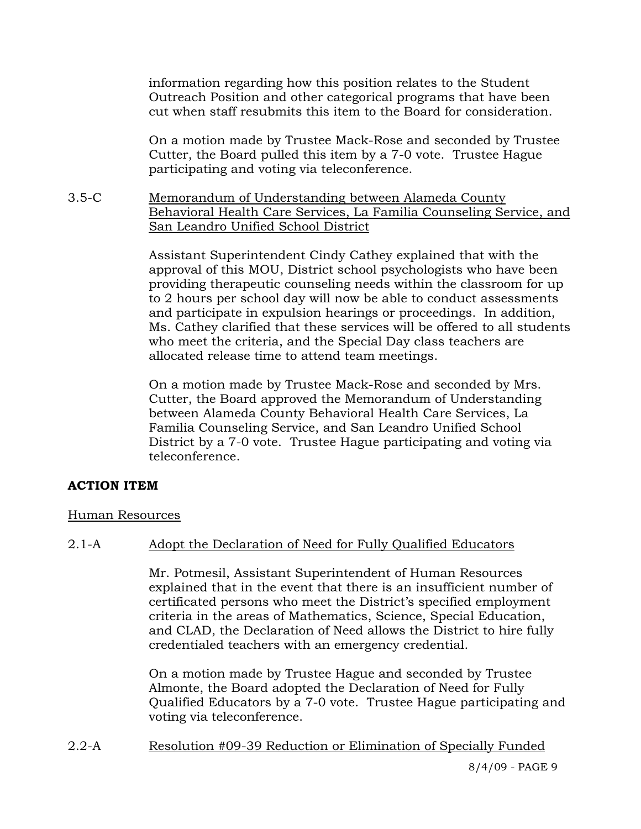information regarding how this position relates to the Student Outreach Position and other categorical programs that have been cut when staff resubmits this item to the Board for consideration.

On a motion made by Trustee Mack-Rose and seconded by Trustee Cutter, the Board pulled this item by a 7-0 vote. Trustee Hague participating and voting via teleconference.

3.5-C Memorandum of Understanding between Alameda County Behavioral Health Care Services, La Familia Counseling Service, and San Leandro Unified School District

> Assistant Superintendent Cindy Cathey explained that with the approval of this MOU, District school psychologists who have been providing therapeutic counseling needs within the classroom for up to 2 hours per school day will now be able to conduct assessments and participate in expulsion hearings or proceedings. In addition, Ms. Cathey clarified that these services will be offered to all students who meet the criteria, and the Special Day class teachers are allocated release time to attend team meetings.

On a motion made by Trustee Mack-Rose and seconded by Mrs. Cutter, the Board approved the Memorandum of Understanding between Alameda County Behavioral Health Care Services, La Familia Counseling Service, and San Leandro Unified School District by a 7-0 vote. Trustee Hague participating and voting via teleconference.

# **ACTION ITEM**

# Human Resources

# 2.1-A Adopt the Declaration of Need for Fully Qualified Educators

Mr. Potmesil, Assistant Superintendent of Human Resources explained that in the event that there is an insufficient number of certificated persons who meet the District's specified employment criteria in the areas of Mathematics, Science, Special Education, and CLAD, the Declaration of Need allows the District to hire fully credentialed teachers with an emergency credential.

On a motion made by Trustee Hague and seconded by Trustee Almonte, the Board adopted the Declaration of Need for Fully Qualified Educators by a 7-0 vote. Trustee Hague participating and voting via teleconference.

2.2-A Resolution #09-39 Reduction or Elimination of Specially Funded

8/4/09 - PAGE 9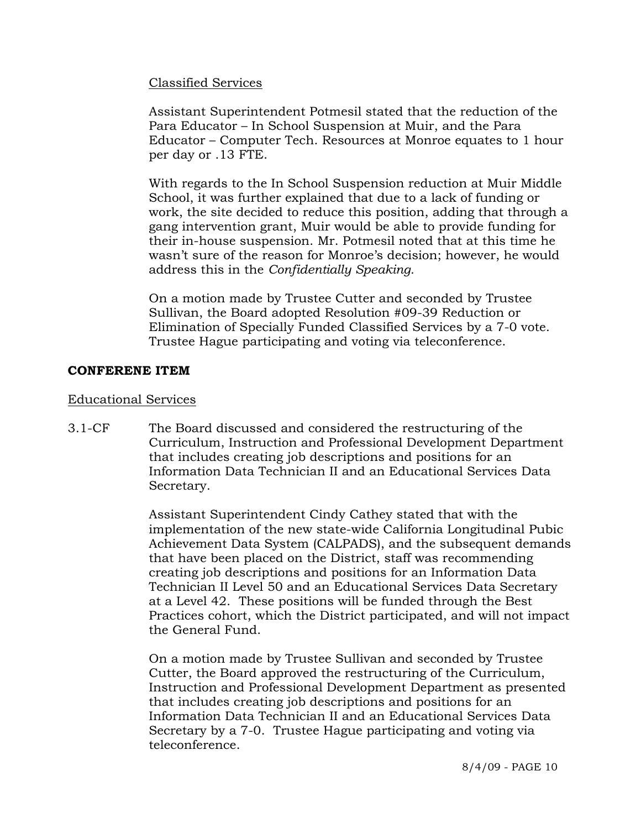# Classified Services

Assistant Superintendent Potmesil stated that the reduction of the Para Educator – In School Suspension at Muir, and the Para Educator – Computer Tech. Resources at Monroe equates to 1 hour per day or .13 FTE.

With regards to the In School Suspension reduction at Muir Middle School, it was further explained that due to a lack of funding or work, the site decided to reduce this position, adding that through a gang intervention grant, Muir would be able to provide funding for their in-house suspension. Mr. Potmesil noted that at this time he wasn't sure of the reason for Monroe's decision; however, he would address this in the *Confidentially Speaking.* 

On a motion made by Trustee Cutter and seconded by Trustee Sullivan, the Board adopted Resolution #09-39 Reduction or Elimination of Specially Funded Classified Services by a 7-0 vote. Trustee Hague participating and voting via teleconference.

#### **CONFERENE ITEM**

#### Educational Services

3.1-CF The Board discussed and considered the restructuring of the Curriculum, Instruction and Professional Development Department that includes creating job descriptions and positions for an Information Data Technician II and an Educational Services Data Secretary.

> Assistant Superintendent Cindy Cathey stated that with the implementation of the new state-wide California Longitudinal Pubic Achievement Data System (CALPADS), and the subsequent demands that have been placed on the District, staff was recommending creating job descriptions and positions for an Information Data Technician II Level 50 and an Educational Services Data Secretary at a Level 42. These positions will be funded through the Best Practices cohort, which the District participated, and will not impact the General Fund.

On a motion made by Trustee Sullivan and seconded by Trustee Cutter, the Board approved the restructuring of the Curriculum, Instruction and Professional Development Department as presented that includes creating job descriptions and positions for an Information Data Technician II and an Educational Services Data Secretary by a 7-0. Trustee Hague participating and voting via teleconference.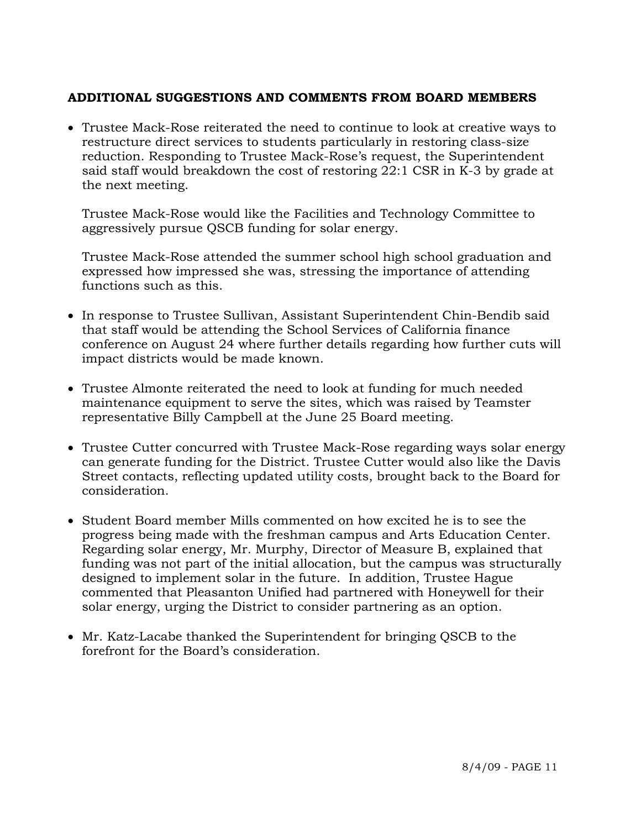# **ADDITIONAL SUGGESTIONS AND COMMENTS FROM BOARD MEMBERS**

• Trustee Mack-Rose reiterated the need to continue to look at creative ways to restructure direct services to students particularly in restoring class-size reduction. Responding to Trustee Mack-Rose's request, the Superintendent said staff would breakdown the cost of restoring 22:1 CSR in K-3 by grade at the next meeting.

Trustee Mack-Rose would like the Facilities and Technology Committee to aggressively pursue QSCB funding for solar energy.

Trustee Mack-Rose attended the summer school high school graduation and expressed how impressed she was, stressing the importance of attending functions such as this.

- In response to Trustee Sullivan, Assistant Superintendent Chin-Bendib said that staff would be attending the School Services of California finance conference on August 24 where further details regarding how further cuts will impact districts would be made known.
- Trustee Almonte reiterated the need to look at funding for much needed maintenance equipment to serve the sites, which was raised by Teamster representative Billy Campbell at the June 25 Board meeting.
- Trustee Cutter concurred with Trustee Mack-Rose regarding ways solar energy can generate funding for the District. Trustee Cutter would also like the Davis Street contacts, reflecting updated utility costs, brought back to the Board for consideration.
- Student Board member Mills commented on how excited he is to see the progress being made with the freshman campus and Arts Education Center. Regarding solar energy, Mr. Murphy, Director of Measure B, explained that funding was not part of the initial allocation, but the campus was structurally designed to implement solar in the future. In addition, Trustee Hague commented that Pleasanton Unified had partnered with Honeywell for their solar energy, urging the District to consider partnering as an option.
- Mr. Katz-Lacabe thanked the Superintendent for bringing QSCB to the forefront for the Board's consideration.